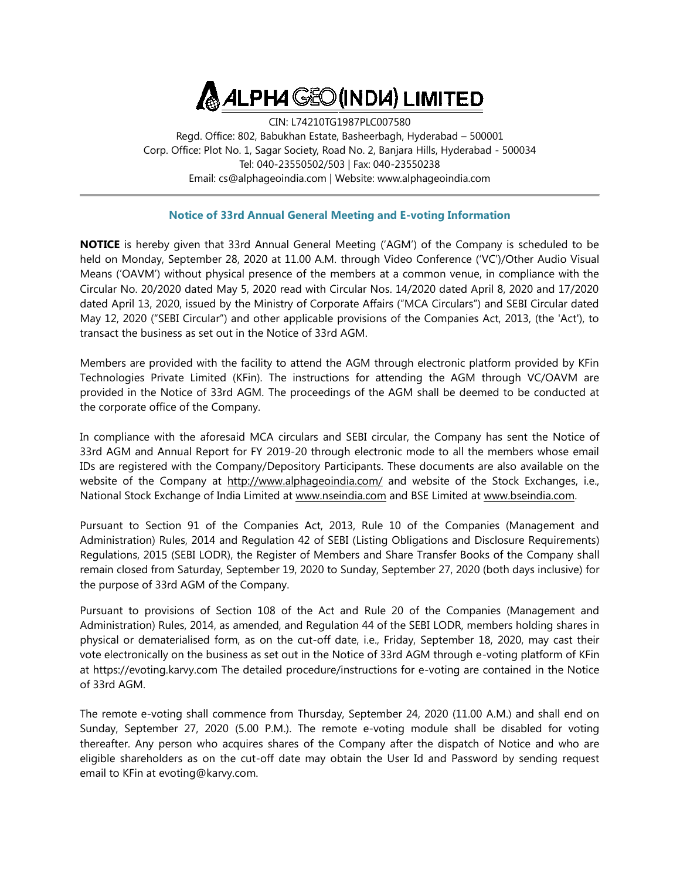## **ALPHA GEO (INDIA) LIMITED**

CIN: L74210TG1987PLC007580 Regd. Office: 802, Babukhan Estate, Basheerbagh, Hyderabad – 500001 Corp. Office: Plot No. 1, Sagar Society, Road No. 2, Banjara Hills, Hyderabad - 500034 Tel: 040-23550502/503 | Fax: 040-23550238 Email: cs@alphageoindia.com | Website: www.alphageoindia.com

## **Notice of 33rd Annual General Meeting and E-voting Information**

**NOTICE** is hereby given that 33rd Annual General Meeting ('AGM') of the Company is scheduled to be held on Monday, September 28, 2020 at 11.00 A.M. through Video Conference ("VC")/Other Audio Visual Means ("OAVM") without physical presence of the members at a common venue, in compliance with the Circular No. 20/2020 dated May 5, 2020 read with Circular Nos. 14/2020 dated April 8, 2020 and 17/2020 dated April 13, 2020, issued by the Ministry of Corporate Affairs ("MCA Circulars") and SEBI Circular dated May 12, 2020 ("SEBI Circular") and other applicable provisions of the Companies Act, 2013, (the 'Act'), to transact the business as set out in the Notice of 33rd AGM.

Members are provided with the facility to attend the AGM through electronic platform provided by KFin Technologies Private Limited (KFin). The instructions for attending the AGM through VC/OAVM are provided in the Notice of 33rd AGM. The proceedings of the AGM shall be deemed to be conducted at the corporate office of the Company.

In compliance with the aforesaid MCA circulars and SEBI circular, the Company has sent the Notice of 33rd AGM and Annual Report for FY 2019-20 through electronic mode to all the members whose email IDs are registered with the Company/Depository Participants. These documents are also available on the website of the Company at <http://www.alphageoindia.com/> and website of the Stock Exchanges, i.e., National Stock Exchange of India Limited at [www.nseindia.com](http://www.nseindia.com/) and BSE Limited at [www.bseindia.com.](http://www.bseindia.com/)

Pursuant to Section 91 of the Companies Act, 2013, Rule 10 of the Companies (Management and Administration) Rules, 2014 and Regulation 42 of SEBI (Listing Obligations and Disclosure Requirements) Regulations, 2015 (SEBI LODR), the Register of Members and Share Transfer Books of the Company shall remain closed from Saturday, September 19, 2020 to Sunday, September 27, 2020 (both days inclusive) for the purpose of 33rd AGM of the Company.

Pursuant to provisions of Section 108 of the Act and Rule 20 of the Companies (Management and Administration) Rules, 2014, as amended, and Regulation 44 of the SEBI LODR, members holding shares in physical or dematerialised form, as on the cut-off date, i.e., Friday, September 18, 2020, may cast their vote electronically on the business as set out in the Notice of 33rd AGM through e-voting platform of KFin at https://evoting.karvy.com The detailed procedure/instructions for e-voting are contained in the Notice of 33rd AGM.

The remote e-voting shall commence from Thursday, September 24, 2020 (11.00 A.M.) and shall end on Sunday, September 27, 2020 (5.00 P.M.). The remote e-voting module shall be disabled for voting thereafter. Any person who acquires shares of the Company after the dispatch of Notice and who are eligible shareholders as on the cut-off date may obtain the User Id and Password by sending request email to KFin at evoting@karvy.com.